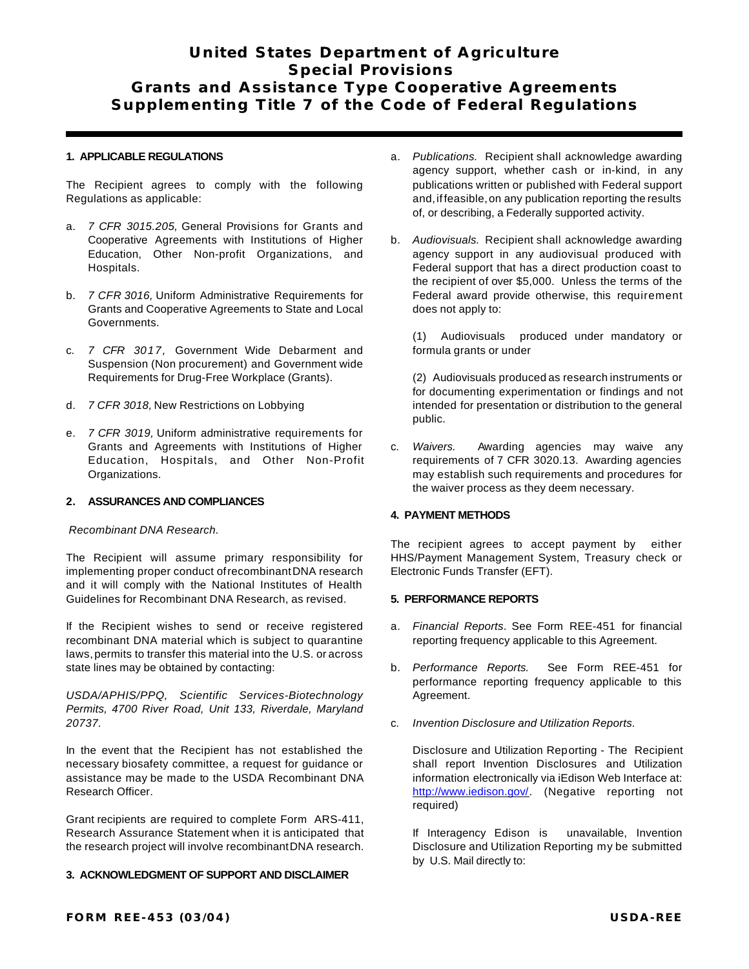# **United States Department of Agriculture Special Provisions Grants and Assistance Type Cooperative Agreements Supplementing Title 7 of the Code of Federal Regulations**

## **1. APPLICABLE REGULATIONS**

The Recipient agrees to comply with the following Regulations as applicable:

- a. *7 CFR 3015.205,* General Provisions for Grants and Cooperative Agreements with Institutions of Higher Education, Other Non-profit Organizations, and Hospitals.
- b. *7 CFR 3016,* Uniform Administrative Requirements for Grants and Cooperative Agreements to State and Local Governments.
- c. *7 CFR 3017,* Government Wide Debarment and Suspension (Non procurement) and Government wide Requirements for Drug-Free Workplace (Grants).
- d. *7 CFR 3018,* New Restrictions on Lobbying
- e. *7 CFR 3019,* Uniform administrative requirements for Grants and Agreements with Institutions of Higher Education, Hospitals, and Other Non-Profit Organizations.

# **2. ASSURANCES AND COMPLIANCES**

#### *Recombinant DNA Research.*

The Recipient will assume primary responsibility for implementing proper conduct ofrecombinantDNA research and it will comply with the National Institutes of Health Guidelines for Recombinant DNA Research, as revised.

If the Recipient wishes to send or receive registered recombinant DNA material which is subject to quarantine laws,permits to transfer this material into the U.S. or across state lines may be obtained by contacting:

*USDA/APHIS/PPQ, Scientific Services-Biotechnology Permits, 4700 River Road, Unit 133, Riverdale, Maryland 20737.*

In the event that the Recipient has not established the necessary biosafety committee, a request for guidance or assistance may be made to the USDA Recombinant DNA Research Officer.

Grant recipients are required to complete Form ARS-411, Research Assurance Statement when it is anticipated that the research project will involve recombinantDNA research.

## **3. ACKNOWLEDGMENT OF SUPPORT AND DISCLAIMER**

- a. *Publications.* Recipient shall acknowledge awarding agency support, whether cash or in-kind, in any publications written or published with Federal support and, if feasible, on any publication reporting the results of, or describing, a Federally supported activity.
- b. *Audiovisuals.* Recipient shall acknowledge awarding agency support in any audiovisual produced with Federal support that has a direct production coast to the recipient of over \$5,000. Unless the terms of the Federal award provide otherwise, this requirement does not apply to:

(1) Audiovisuals produced under mandatory or formula grants or under

(2) Audiovisuals produced as research instruments or for documenting experimentation or findings and not intended for presentation or distribution to the general public.

c. *Waivers.* Awarding agencies may waive any requirements of 7 CFR 3020.13. Awarding agencies may establish such requirements and procedures for the waiver process as they deem necessary.

# **4. PAYMENT METHODS**

The recipient agrees to accept payment by either HHS/Payment Management System, Treasury check or Electronic Funds Transfer (EFT).

## **5. PERFORMANCE REPORTS**

- a. *Financial Reports*. See Form REE-451 for financial reporting frequency applicable to this Agreement.
- b. *Performance Reports.* See Form REE-451 for performance reporting frequency applicable to this Agreement.
- c. *Invention Disclosure and Utilization Reports.*

Disclosure and Utilization Reporting - The Recipient shall report Invention Disclosures and Utilization information electronically via iEdison Web Interface at: http://www.iedison.gov/. (Negative reporting not required)

If Interagency Edison is unavailable, Invention Disclosure and Utilization Reporting my be submitted by U.S. Mail directly to: